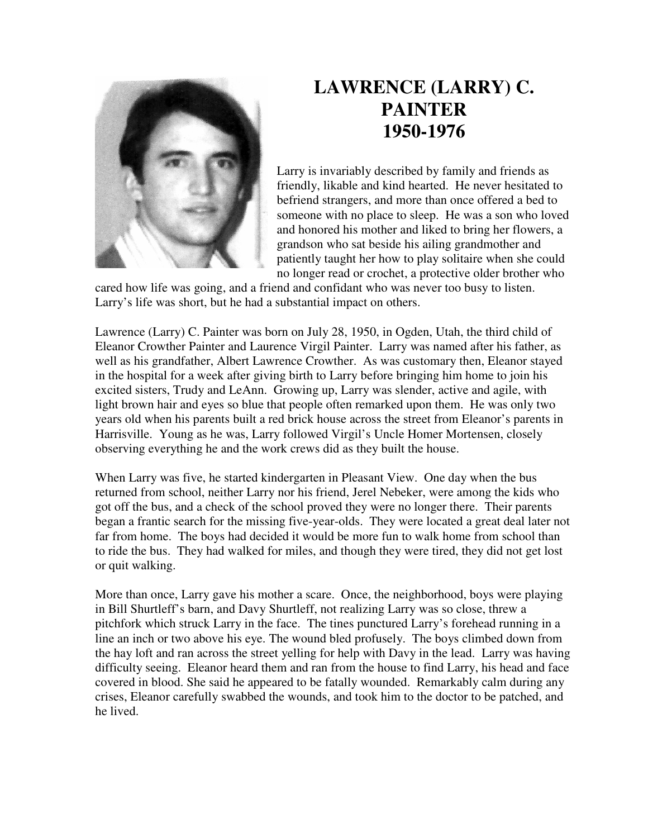

## **LAWRENCE (LARRY) C. PAINTER 1950-1976**

Larry is invariably described by family and friends as friendly, likable and kind hearted. He never hesitated to befriend strangers, and more than once offered a bed to someone with no place to sleep. He was a son who loved and honored his mother and liked to bring her flowers, a grandson who sat beside his ailing grandmother and patiently taught her how to play solitaire when she could no longer read or crochet, a protective older brother who

cared how life was going, and a friend and confidant who was never too busy to listen. Larry's life was short, but he had a substantial impact on others.

Lawrence (Larry) C. Painter was born on July 28, 1950, in Ogden, Utah, the third child of Eleanor Crowther Painter and Laurence Virgil Painter. Larry was named after his father, as well as his grandfather, Albert Lawrence Crowther. As was customary then, Eleanor stayed in the hospital for a week after giving birth to Larry before bringing him home to join his excited sisters, Trudy and LeAnn. Growing up, Larry was slender, active and agile, with light brown hair and eyes so blue that people often remarked upon them. He was only two years old when his parents built a red brick house across the street from Eleanor's parents in Harrisville. Young as he was, Larry followed Virgil's Uncle Homer Mortensen, closely observing everything he and the work crews did as they built the house.

When Larry was five, he started kindergarten in Pleasant View. One day when the bus returned from school, neither Larry nor his friend, Jerel Nebeker, were among the kids who got off the bus, and a check of the school proved they were no longer there. Their parents began a frantic search for the missing five-year-olds. They were located a great deal later not far from home. The boys had decided it would be more fun to walk home from school than to ride the bus. They had walked for miles, and though they were tired, they did not get lost or quit walking.

More than once, Larry gave his mother a scare. Once, the neighborhood, boys were playing in Bill Shurtleff's barn, and Davy Shurtleff, not realizing Larry was so close, threw a pitchfork which struck Larry in the face. The tines punctured Larry's forehead running in a line an inch or two above his eye. The wound bled profusely. The boys climbed down from the hay loft and ran across the street yelling for help with Davy in the lead. Larry was having difficulty seeing. Eleanor heard them and ran from the house to find Larry, his head and face covered in blood. She said he appeared to be fatally wounded. Remarkably calm during any crises, Eleanor carefully swabbed the wounds, and took him to the doctor to be patched, and he lived.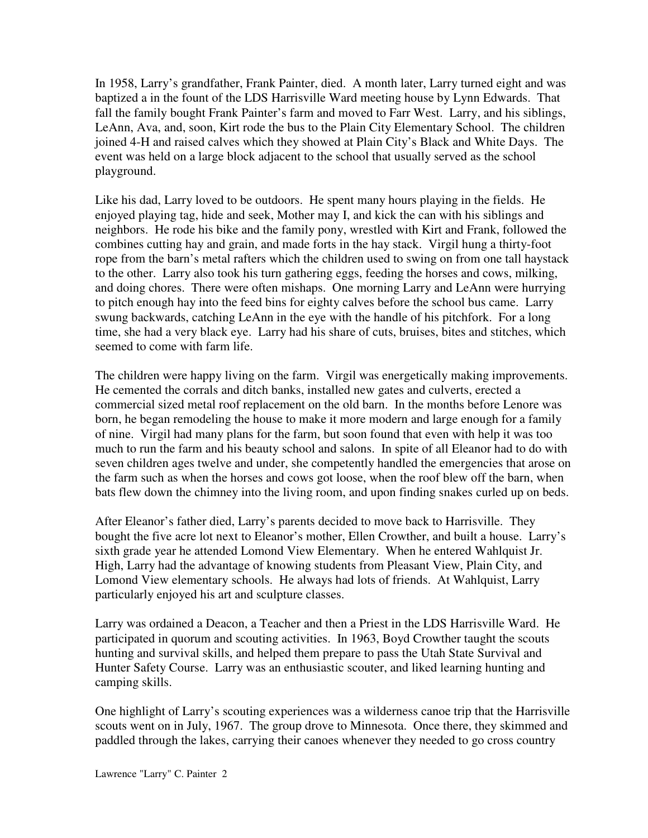In 1958, Larry's grandfather, Frank Painter, died. A month later, Larry turned eight and was baptized a in the fount of the LDS Harrisville Ward meeting house by Lynn Edwards. That fall the family bought Frank Painter's farm and moved to Farr West. Larry, and his siblings, LeAnn, Ava, and, soon, Kirt rode the bus to the Plain City Elementary School. The children joined 4-H and raised calves which they showed at Plain City's Black and White Days. The event was held on a large block adjacent to the school that usually served as the school playground.

Like his dad, Larry loved to be outdoors. He spent many hours playing in the fields. He enjoyed playing tag, hide and seek, Mother may I, and kick the can with his siblings and neighbors. He rode his bike and the family pony, wrestled with Kirt and Frank, followed the combines cutting hay and grain, and made forts in the hay stack. Virgil hung a thirty-foot rope from the barn's metal rafters which the children used to swing on from one tall haystack to the other. Larry also took his turn gathering eggs, feeding the horses and cows, milking, and doing chores. There were often mishaps. One morning Larry and LeAnn were hurrying to pitch enough hay into the feed bins for eighty calves before the school bus came. Larry swung backwards, catching LeAnn in the eye with the handle of his pitchfork. For a long time, she had a very black eye. Larry had his share of cuts, bruises, bites and stitches, which seemed to come with farm life.

The children were happy living on the farm. Virgil was energetically making improvements. He cemented the corrals and ditch banks, installed new gates and culverts, erected a commercial sized metal roof replacement on the old barn. In the months before Lenore was born, he began remodeling the house to make it more modern and large enough for a family of nine. Virgil had many plans for the farm, but soon found that even with help it was too much to run the farm and his beauty school and salons. In spite of all Eleanor had to do with seven children ages twelve and under, she competently handled the emergencies that arose on the farm such as when the horses and cows got loose, when the roof blew off the barn, when bats flew down the chimney into the living room, and upon finding snakes curled up on beds.

After Eleanor's father died, Larry's parents decided to move back to Harrisville. They bought the five acre lot next to Eleanor's mother, Ellen Crowther, and built a house. Larry's sixth grade year he attended Lomond View Elementary. When he entered Wahlquist Jr. High, Larry had the advantage of knowing students from Pleasant View, Plain City, and Lomond View elementary schools. He always had lots of friends. At Wahlquist, Larry particularly enjoyed his art and sculpture classes.

Larry was ordained a Deacon, a Teacher and then a Priest in the LDS Harrisville Ward. He participated in quorum and scouting activities. In 1963, Boyd Crowther taught the scouts hunting and survival skills, and helped them prepare to pass the Utah State Survival and Hunter Safety Course. Larry was an enthusiastic scouter, and liked learning hunting and camping skills.

One highlight of Larry's scouting experiences was a wilderness canoe trip that the Harrisville scouts went on in July, 1967. The group drove to Minnesota. Once there, they skimmed and paddled through the lakes, carrying their canoes whenever they needed to go cross country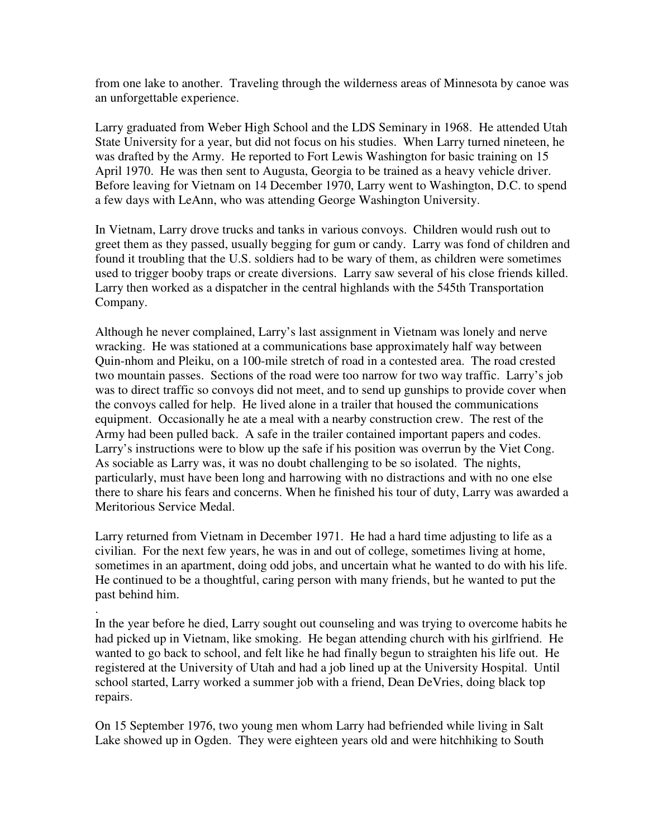from one lake to another. Traveling through the wilderness areas of Minnesota by canoe was an unforgettable experience.

Larry graduated from Weber High School and the LDS Seminary in 1968. He attended Utah State University for a year, but did not focus on his studies. When Larry turned nineteen, he was drafted by the Army. He reported to Fort Lewis Washington for basic training on 15 April 1970. He was then sent to Augusta, Georgia to be trained as a heavy vehicle driver. Before leaving for Vietnam on 14 December 1970, Larry went to Washington, D.C. to spend a few days with LeAnn, who was attending George Washington University.

In Vietnam, Larry drove trucks and tanks in various convoys. Children would rush out to greet them as they passed, usually begging for gum or candy. Larry was fond of children and found it troubling that the U.S. soldiers had to be wary of them, as children were sometimes used to trigger booby traps or create diversions. Larry saw several of his close friends killed. Larry then worked as a dispatcher in the central highlands with the 545th Transportation Company.

Although he never complained, Larry's last assignment in Vietnam was lonely and nerve wracking. He was stationed at a communications base approximately half way between Quin-nhom and Pleiku, on a 100-mile stretch of road in a contested area. The road crested two mountain passes. Sections of the road were too narrow for two way traffic. Larry's job was to direct traffic so convoys did not meet, and to send up gunships to provide cover when the convoys called for help. He lived alone in a trailer that housed the communications equipment. Occasionally he ate a meal with a nearby construction crew. The rest of the Army had been pulled back. A safe in the trailer contained important papers and codes. Larry's instructions were to blow up the safe if his position was overrun by the Viet Cong. As sociable as Larry was, it was no doubt challenging to be so isolated. The nights, particularly, must have been long and harrowing with no distractions and with no one else there to share his fears and concerns. When he finished his tour of duty, Larry was awarded a Meritorious Service Medal.

Larry returned from Vietnam in December 1971. He had a hard time adjusting to life as a civilian. For the next few years, he was in and out of college, sometimes living at home, sometimes in an apartment, doing odd jobs, and uncertain what he wanted to do with his life. He continued to be a thoughtful, caring person with many friends, but he wanted to put the past behind him.

. In the year before he died, Larry sought out counseling and was trying to overcome habits he had picked up in Vietnam, like smoking. He began attending church with his girlfriend. He wanted to go back to school, and felt like he had finally begun to straighten his life out. He registered at the University of Utah and had a job lined up at the University Hospital. Until school started, Larry worked a summer job with a friend, Dean DeVries, doing black top repairs.

On 15 September 1976, two young men whom Larry had befriended while living in Salt Lake showed up in Ogden. They were eighteen years old and were hitchhiking to South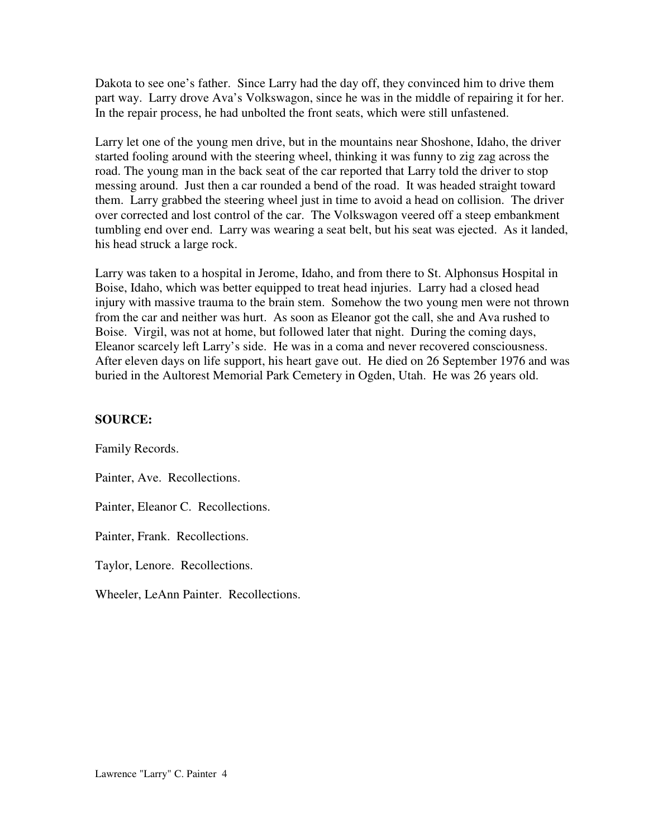Dakota to see one's father. Since Larry had the day off, they convinced him to drive them part way. Larry drove Ava's Volkswagon, since he was in the middle of repairing it for her. In the repair process, he had unbolted the front seats, which were still unfastened.

Larry let one of the young men drive, but in the mountains near Shoshone, Idaho, the driver started fooling around with the steering wheel, thinking it was funny to zig zag across the road. The young man in the back seat of the car reported that Larry told the driver to stop messing around. Just then a car rounded a bend of the road. It was headed straight toward them. Larry grabbed the steering wheel just in time to avoid a head on collision. The driver over corrected and lost control of the car. The Volkswagon veered off a steep embankment tumbling end over end. Larry was wearing a seat belt, but his seat was ejected. As it landed, his head struck a large rock.

Larry was taken to a hospital in Jerome, Idaho, and from there to St. Alphonsus Hospital in Boise, Idaho, which was better equipped to treat head injuries. Larry had a closed head injury with massive trauma to the brain stem. Somehow the two young men were not thrown from the car and neither was hurt. As soon as Eleanor got the call, she and Ava rushed to Boise. Virgil, was not at home, but followed later that night. During the coming days, Eleanor scarcely left Larry's side. He was in a coma and never recovered consciousness. After eleven days on life support, his heart gave out. He died on 26 September 1976 and was buried in the Aultorest Memorial Park Cemetery in Ogden, Utah. He was 26 years old.

## **SOURCE:**

Family Records.

Painter, Ave. Recollections.

Painter, Eleanor C. Recollections.

Painter, Frank. Recollections.

Taylor, Lenore. Recollections.

Wheeler, LeAnn Painter. Recollections.